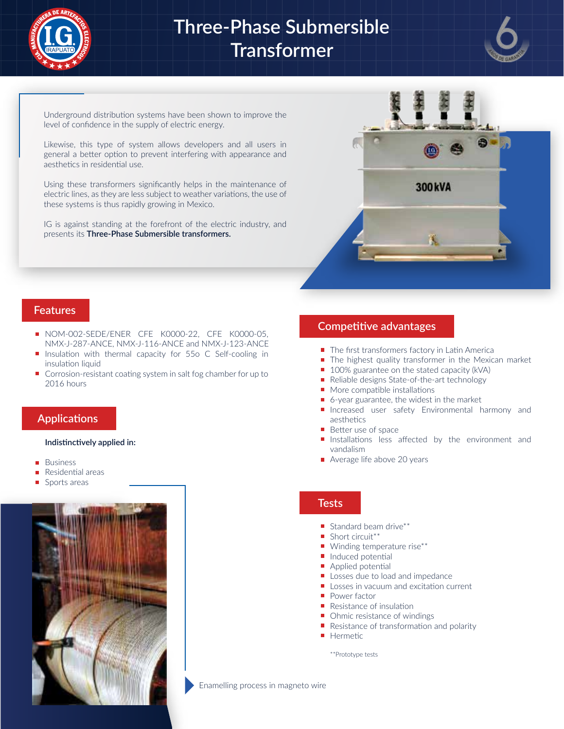

# **Three-Phase Submersible Transformer**



Underground distribution systems have been shown to improve the level of confidence in the supply of electric energy.

Likewise, this type of system allows developers and all users in general a better option to prevent interfering with appearance and aesthetics in residential use.

Using these transformers significantly helps in the maintenance of electric lines, as they are less subject to weather variations, the use of these systems is thus rapidly growing in Mexico.

IG is against standing at the forefront of the electric industry, and presents its **Three-Phase Submersible transformers.**



#### **Features**

- NOM-002-SEDE/ENER CFE K0000-22, CFE K0000-05, NMX-J-287-ANCE, NMX-J-116-ANCE and NMX-J-123-ANCE
- **Insulation with thermal capacity for 55o C Self-cooling in** insulation liquid
- Corrosion-resistant coating system in salt fog chamber for up to 2016 hours

#### **Applications**

#### **Indistinctively applied in:**

- Business
- Residential areas
- Sports areas



#### **Competitive advantages**

- The first transformers factory in Latin America
- The highest quality transformer in the Mexican market
- 100% guarantee on the stated capacity (kVA)
- Reliable designs State-of-the-art technology
- More compatible installations  $\blacksquare$
- 6-year guarantee, the widest in the market  $\blacksquare$
- **Increased user safety Environmental harmony and** aesthetics
- Better use of space
- Installations less affected by the environment and vandalism
- Average life above 20 years

#### **Tests**

- $\blacksquare$  Standard beam drive\*\*
- Short circuit\*\*
- Winding temperature rise\*\*
- $\blacksquare$  Induced potential
- $\blacksquare$ Applied potential
- Losses due to load and impedance
- Losses in vacuum and excitation current
- **Power factor**
- Resistance of insulation
- Ohmic resistance of windings
- Resistance of transformation and polarity
- **Hermetic**

\*\*Prototype tests

Enamelling process in magneto wire